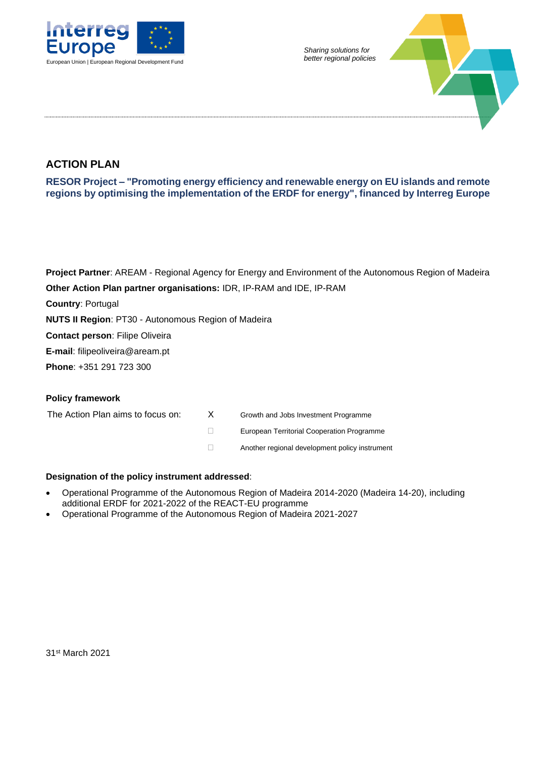



## **ACTION PLAN**

**RESOR Project – "Promoting energy efficiency and renewable energy on EU islands and remote regions by optimising the implementation of the ERDF for energy", financed by Interreg Europe**

**Project Partner**: AREAM - Regional Agency for Energy and Environment of the Autonomous Region of Madeira **Other Action Plan partner organisations:** IDR, IP-RAM and IDE, IP-RAM **Country**: Portugal **NUTS II Region**: PT30 - Autonomous Region of Madeira **Contact person**: Filipe Oliveira **E-mail**: filipeoliveira@aream.pt **Phone**: +351 291 723 300

#### **Policy framework**

The Action Plan aims to focus on: X Growth and Jobs Investment Programme

European Territorial Cooperation Programme

Another regional development policy instrument

#### **Designation of the policy instrument addressed**:

- Operational Programme of the Autonomous Region of Madeira 2014-2020 (Madeira 14-20), including additional ERDF for 2021-2022 of the REACT-EU programme
- Operational Programme of the Autonomous Region of Madeira 2021-2027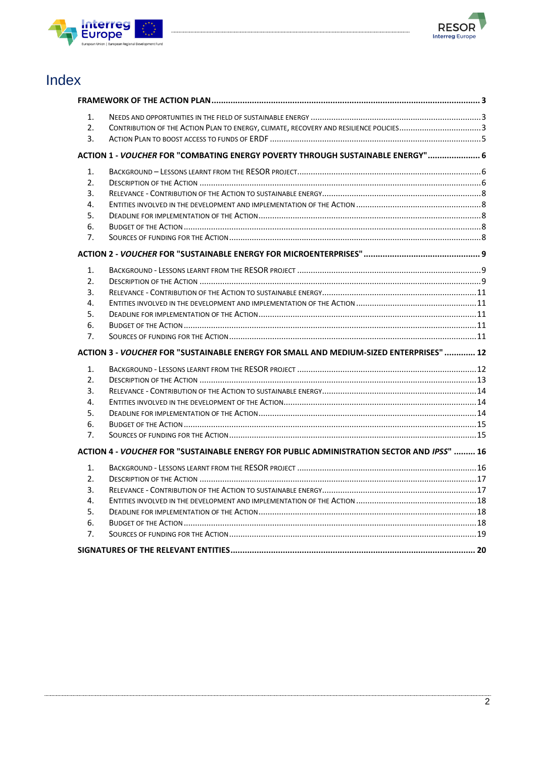



# Index

| 1.             |                                                                                           |  |
|----------------|-------------------------------------------------------------------------------------------|--|
| 2.             | CONTRIBUTION OF THE ACTION PLAN TO ENERGY, CLIMATE, RECOVERY AND RESILIENCE POLICIES3     |  |
| 3.             |                                                                                           |  |
|                | ACTION 1 - VOUCHER FOR "COMBATING ENERGY POVERTY THROUGH SUSTAINABLE ENERGY" 6            |  |
| 1.             |                                                                                           |  |
| 2.             |                                                                                           |  |
| 3.             |                                                                                           |  |
| 4.             |                                                                                           |  |
| 5.             |                                                                                           |  |
| 6.             |                                                                                           |  |
| 7.             |                                                                                           |  |
|                |                                                                                           |  |
| 1.             |                                                                                           |  |
| 2.             |                                                                                           |  |
| 3.             |                                                                                           |  |
| 4.             |                                                                                           |  |
| 5.             |                                                                                           |  |
| 6.             |                                                                                           |  |
| 7 <sub>1</sub> |                                                                                           |  |
|                | ACTION 3 - VOUCHER FOR "SUSTAINABLE ENERGY FOR SMALL AND MEDIUM-SIZED ENTERPRISES"  12    |  |
| 1.             |                                                                                           |  |
| 2.             |                                                                                           |  |
| 3.             |                                                                                           |  |
| 4.             |                                                                                           |  |
| 5.             |                                                                                           |  |
| 6.             |                                                                                           |  |
| 7.             |                                                                                           |  |
|                | ACTION 4 - VOUCHER FOR "SUSTAINABLE ENERGY FOR PUBLIC ADMINISTRATION SECTOR AND IPSS"  16 |  |
| 1.             |                                                                                           |  |
| 2.             |                                                                                           |  |
| 3.             |                                                                                           |  |
| 4.             |                                                                                           |  |
| 5.             |                                                                                           |  |
| 6.             |                                                                                           |  |
| 7.             |                                                                                           |  |
|                |                                                                                           |  |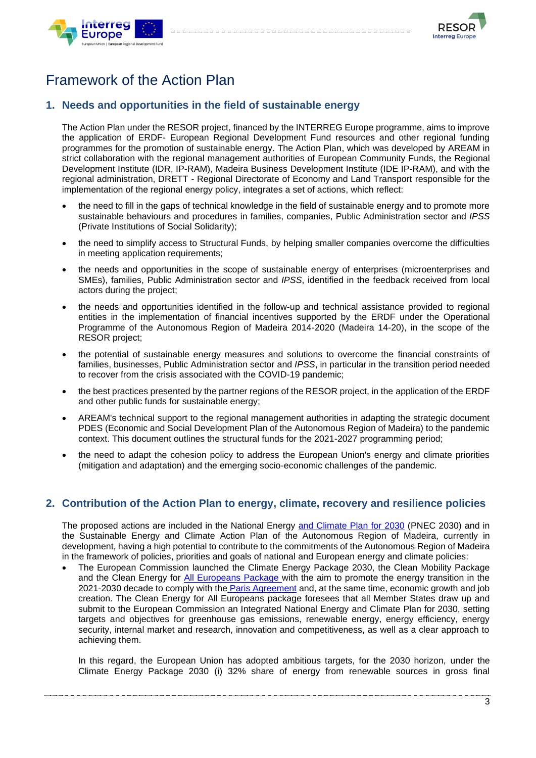



# <span id="page-2-0"></span>Framework of the Action Plan

### <span id="page-2-1"></span>**1. Needs and opportunities in the field of sustainable energy**

The Action Plan under the RESOR project, financed by the INTERREG Europe programme, aims to improve the application of ERDF- European Regional Development Fund resources and other regional funding programmes for the promotion of sustainable energy. The Action Plan, which was developed by AREAM in strict collaboration with the regional management authorities of European Community Funds, the Regional Development Institute (IDR, IP-RAM), Madeira Business Development Institute (IDE IP-RAM), and with the regional administration, DRETT - Regional Directorate of Economy and Land Transport responsible for the implementation of the regional energy policy, integrates a set of actions, which reflect:

- the need to fill in the gaps of technical knowledge in the field of sustainable energy and to promote more sustainable behaviours and procedures in families, companies, Public Administration sector and *IPSS* (Private Institutions of Social Solidarity);
- the need to simplify access to Structural Funds, by helping smaller companies overcome the difficulties in meeting application requirements;
- the needs and opportunities in the scope of sustainable energy of enterprises (microenterprises and SMEs), families, Public Administration sector and *IPSS*, identified in the feedback received from local actors during the project;
- the needs and opportunities identified in the follow-up and technical assistance provided to regional entities in the implementation of financial incentives supported by the ERDF under the Operational Programme of the Autonomous Region of Madeira 2014-2020 (Madeira 14-20), in the scope of the RESOR project;
- the potential of sustainable energy measures and solutions to overcome the financial constraints of families, businesses, Public Administration sector and *IPSS*, in particular in the transition period needed to recover from the crisis associated with the COVID-19 pandemic;
- the best practices presented by the partner regions of the RESOR project, in the application of the ERDF and other public funds for sustainable energy;
- AREAM's technical support to the regional management authorities in adapting the strategic document PDES (Economic and Social Development Plan of the Autonomous Region of Madeira) to the pandemic context. This document outlines the structural funds for the 2021-2027 programming period;
- the need to adapt the cohesion policy to address the European Union's energy and climate priorities (mitigation and adaptation) and the emerging socio-economic challenges of the pandemic.

### <span id="page-2-2"></span>**2. Contribution of the Action Plan to energy, climate, recovery and resilience policies**

The proposed actions are included in the National Energy [and Climate Plan for 2030](https://apambiente.pt/_zdata/Alteracoes_Climaticas/Mitigacao/PNEC/PNEC%20PT_Template%20Final%202019%2030122019.pdf) (PNEC 2030) and in the Sustainable Energy and Climate Action Plan of the Autonomous Region of Madeira, currently in development, having a high potential to contribute to the commitments of the Autonomous Region of Madeira in the framework of policies, priorities and goals of national and European energy and climate policies:

• The European Commission launched the Climate Energy Package 2030, the Clean Mobility Package and the Clean Energy for [All Europeans Package](https://ec.europa.eu/energy/topics/energy-strategy/clean-energy-all-europeans_en) with the aim to promote the energy transition in the 2021-2030 decade to comply with the [Paris Agreement](https://ec.europa.eu/clima/policies/international/negotiations/paris_en) and, at the same time, economic growth and job creation. The Clean Energy for All Europeans package foresees that all Member States draw up and submit to the European Commission an Integrated National Energy and Climate Plan for 2030, setting targets and objectives for greenhouse gas emissions, renewable energy, energy efficiency, energy security, internal market and research, innovation and competitiveness, as well as a clear approach to achieving them.

In this regard, the European Union has adopted ambitious targets, for the 2030 horizon, under the Climate Energy Package 2030 (i) 32% share of energy from renewable sources in gross final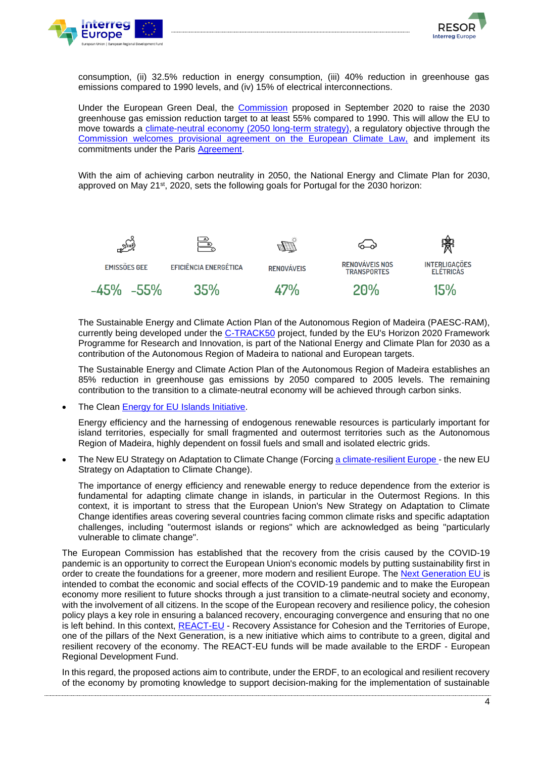



consumption, (ii) 32.5% reduction in energy consumption, (iii) 40% reduction in greenhouse gas emissions compared to 1990 levels, and (iv) 15% of electrical interconnections.

Under the European Green Deal, the [Commission](https://ec.europa.eu/info/strategy/priorities-2019-2024/european-green-deal_en) proposed in September 2020 to raise the 2030 greenhouse gas emission reduction target to at least 55% compared to 1990. This will allow the EU to move towards a [climate-neutral economy \(2050 long-term strategy\),](https://ec.europa.eu/clima/policies/strategies/2050_en) a regulatory objective [through the](https://ec.europa.eu/commission/presscorner/detail/en/ip_21_1828) [Commission welcomes provisional agreement on the European Climate Law,](https://ec.europa.eu/commission/presscorner/detail/en/ip_21_1828) and implement its commitments under the Paris [Agreement.](https://ec.europa.eu/clima/policies/international/negotiations/paris_en)

With the aim of achieving carbon neutrality in 2050, the National Energy and Climate Plan for 2030, approved on May 21<sup>st</sup>, 2020, sets the following goals for Portugal for the 2030 horizon:



The Sustainable Energy and Climate Action Plan of the Autonomous Region of Madeira (PAESC-RAM), currently being developed under the [C-TRACK50](https://www.c-track50.eu/) project, funded by the EU's Horizon 2020 Framework Programme for Research and Innovation, is part of the National Energy and Climate Plan for 2030 as a contribution of the Autonomous Region of Madeira to national and European targets.

The Sustainable Energy and Climate Action Plan of the Autonomous Region of Madeira establishes an 85% reduction in greenhouse gas emissions by 2050 compared to 2005 levels. The remaining contribution to the transition to a climate-neutral economy will be achieved through carbon sinks.

The Clean [Energy for EU Islands](https://ec.europa.eu/energy/topics/markets-and-consumers/clean-energy-eu-islands_en) Initiative.

Energy efficiency and the harnessing of endogenous renewable resources is particularly important for island territories, especially for small fragmented and outermost territories such as the Autonomous Region of Madeira, highly dependent on fossil fuels and small and isolated electric grids.

The New EU Strategy on Adaptation to Climate Change (Forcing [a climate-resilient Europe](https://eur-lex.europa.eu/legal-content/EN/TXT/PDF/?uri=CELEX:52021DC0082&from=EN) - the new EU Strategy on Adaptation to Climate Change).

The importance of energy efficiency and renewable energy to reduce dependence from the exterior is fundamental for adapting climate change in islands, in particular in the Outermost Regions. In this context, it is important to stress that the European Union's New Strategy on Adaptation to Climate Change identifies areas covering several countries facing common climate risks and specific adaptation challenges, including "outermost islands or regions" which are acknowledged as being "particularly vulnerable to climate change".

The European Commission has established that the recovery from the crisis caused by the COVID-19 pandemic is an opportunity to correct the European Union's economic models by putting sustainability first in order to create the foundations for a greener, more modern and resilient Europe. The [Next Generation EU](https://www.europarl.europa.eu/RegData/etudes/BRIE/2020/652000/EPRS_BRI%282020%29652000_EN.pdf) is [intended to combat the economic and social effects of the](https://www.europarl.europa.eu/RegData/etudes/BRIE/2020/652000/EPRS_BRI%282020%29652000_EN.pdf) COVID-19 pandemic and to make the European economy more resilient to future shocks through a just transition to a climate-neutral society and economy, with the involvement of all citizens. In the scope of the European recovery and resilience policy, the cohesion policy plays a key role in ensuring a balanced recovery, encouraging convergence and ensuring that no one is left behind. In this context, [REACT-EU](https://ec.europa.eu/regional_policy/en/newsroom/coronavirus-response/react-eu) - Recovery Assistance for Cohesion and the Territories of Europe, one of the pillars of the Next Generation, is a new initiative which aims to contribute to a green, digital and resilient recovery of the economy. The REACT-EU funds will be made available to the ERDF - European Regional Development Fund.

In this regard, the proposed actions aim to contribute, under the ERDF, to an ecological and resilient recovery of the economy by promoting knowledge to support decision-making for the implementation of sustainable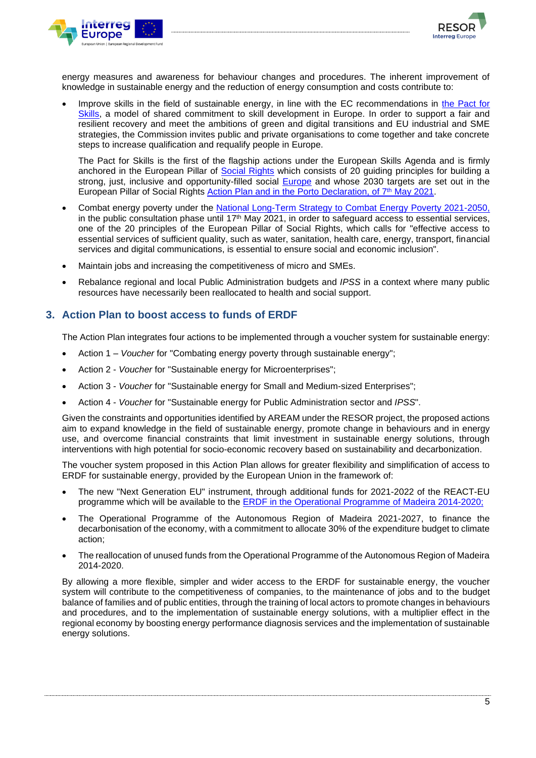



energy measures and awareness for behaviour changes and procedures. The inherent improvement of knowledge in sustainable energy and the reduction of energy consumption and costs contribute to:

Improve skills in the field of sustainable energy, in line with the EC recommendations in the [Pact for](https://ec.europa.eu/social/main.jsp?catId=1517&langId=en) Skills, a model of shared commitment to skill development in Europe. In order to support a fair and resilient recovery and meet the ambitions of green and digital transitions and EU industrial and SME strategies, the Commission invites public and private organisations to come together and take concrete steps to increase qualification and requalify people in Europe.

The Pact for Skills is the first of the flagship actions under the European Skills Agenda and is firmly anchored in [the European Pillar](https://ec.europa.eu/info/strategy/priorities-2019-2024/economy-works-people/jobs-growth-and-investment/european-pillar-social-rights/european-pillar-social-rights-20-principles_pt) of [Social Rights](https://www.2021portugal.eu/pt/cimeira-social-do-porto/plano-de-acao-do-pilar-europeu-dos-direitos-sociais/) which consists of 20 guiding principles for building a strong, just, inclusive and opportunity-filled social [Europe](https://wwwcdn.dges.gov.pt/sites/default/files/nova_agenda.pdf) and whose 2030 targets are set out in the European Pillar of Social Rights [Action Plan and in the Porto Declaration, of 7](https://www.2021portugal.eu/pt/cimeira-social-do-porto/compromisso-social-do-porto/)<sup>th</sup> May 2021.

- Combat energy poverty under the [National Long-Term Strategy to Combat Energy Poverty 2021-2050,](https://participa.pt/pt/consulta/estrategia-nacional-de-longo-prazo-para-o-combate-a-pobreza-energetica-2021-2050) in the public consultation phase until 17<sup>th</sup> May 2021, in order to safeguard access to essential services, one of the 20 principles of the European Pillar of Social Rights, which calls for "effective access to essential services of sufficient quality, such as water, sanitation, health care, energy, transport, financial services and digital communications, is essential to ensure social and economic inclusion".
- Maintain jobs and increasing the competitiveness of micro and SMEs.
- Rebalance regional and local Public Administration budgets and *IPSS* in a context where many public resources have necessarily been reallocated to health and social support.

#### <span id="page-4-0"></span>**3. Action Plan to boost access to funds of ERDF**

The Action Plan integrates four actions to be implemented through a voucher system for sustainable energy:

- Action 1 *Voucher* for "Combating energy poverty through sustainable energy";
- Action 2 *Voucher* for "Sustainable energy for Microenterprises";
- Action 3 *Voucher* for "Sustainable energy for Small and Medium-sized Enterprises";
- Action 4 *Voucher* for "Sustainable energy for Public Administration sector and *IPSS*".

Given the constraints and opportunities identified by AREAM under the RESOR project, the proposed actions aim to expand knowledge in the field of sustainable energy, promote change in behaviours and in energy use, and overcome financial constraints that limit investment in sustainable energy solutions, through interventions with high potential for socio-economic recovery based on sustainability and decarbonization.

The voucher system proposed in this Action Plan allows for greater flexibility and simplification of access to ERDF for sustainable energy, provided by the European Union in the framework of:

- The new "Next Generation EU" instrument, through additional funds for 2021-2022 of the REACT-EU programme which will be available to the [ERDF in the Operational Programme](https://ec.europa.eu/commission/presscorner/detail/en/qanda_20_2381) of Madeira 2014-2020;
- The Operational Programme of the Autonomous Region of Madeira 2021-2027, to finance the decarbonisation of the economy, with a commitment to allocate 30% of the expenditure budget to climate action;
- The reallocation of unused funds from the Operational Programme of the Autonomous Region of Madeira 2014-2020.

By allowing a more flexible, simpler and wider access to the ERDF for sustainable energy, the voucher system will contribute to the competitiveness of companies, to the maintenance of jobs and to the budget balance of families and of public entities, through the training of local actors to promote changes in behaviours and procedures, and to the implementation of sustainable energy solutions, with a multiplier effect in the regional economy by boosting energy performance diagnosis services and the implementation of sustainable energy solutions.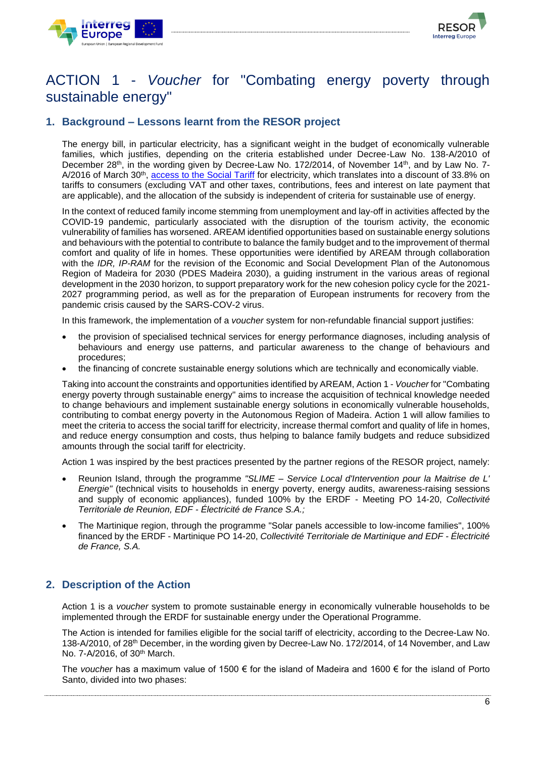



## <span id="page-5-0"></span>ACTION 1 - *Voucher* for "Combating energy poverty through sustainable energy"

### <span id="page-5-1"></span>**1. Background – Lessons learnt from the RESOR project**

The energy bill, in particular electricity, has a significant weight in the budget of economically vulnerable families, which justifies, depending on the criteria established under Decree-Law No. 138-A/2010 of December 28<sup>th</sup>, in the wording given by Decree-Law No. 172/2014, of November 14<sup>th</sup>, and by Law No. 7A/2016 of March 30<sup>th</sup>, [access to the S](https://www.eem.pt/pt/conteudo/clientes/faturacao/tarifarios/tarifa-social/)ocial [Tariff](https://www.eem.pt/pt/conteudo/clientes/faturacao/tarifarios/tarifa-social/) for electricity, which tr[a](https://www.eem.pt/pt/conteudo/clientes/faturacao/tarifarios/tarifa-social/)nslates into a discount of 33.8% on tariffs to consumers (excluding VAT and other taxes, contributions, fees and interest on late payment that are applicable), and the allocation of the subsidy is independent of criteria for sustainable use of energy.

In the context of reduced family income stemming from unemployment and lay-off in activities affected by the COVID-19 pandemic, particularly associated with the disruption of the tourism activity, the economic vulnerability of families has worsened. AREAM identified opportunities based on sustainable energy solutions and behaviours with the potential to contribute to balance the family budget and to the improvement of thermal comfort and quality of life in homes. These opportunities were identified by AREAM through collaboration with the *IDR, IP-RAM* for the revision of the Economic and Social Development Plan of the Autonomous Region of Madeira for 2030 (PDES Madeira 2030), a guiding instrument in the various areas of regional development in the 2030 horizon, to support preparatory work for the new cohesion policy cycle for the 2021- 2027 programming period, as well as for the preparation of European instruments for recovery from the pandemic crisis caused by the SARS-COV-2 virus.

In this framework, the implementation of a *voucher* system for non-refundable financial support justifies:

- the provision of specialised technical services for energy performance diagnoses, including analysis of behaviours and energy use patterns, and particular awareness to the change of behaviours and procedures;
- the financing of concrete sustainable energy solutions which are technically and economically viable.

Taking into account the constraints and opportunities identified by AREAM, Action 1 - *Voucher* for "Combating energy poverty through sustainable energy" aims to increase the acquisition of technical knowledge needed to change behaviours and implement sustainable energy solutions in economically vulnerable households, contributing to combat energy poverty in the Autonomous Region of Madeira. Action 1 will allow families to meet the criteria to access [the social tariff for electricity,](https://www.eem.pt/pt/conteudo/clientes/faturacao/tarifarios/tarifa-social) increase thermal comfort and quality of life in homes, and reduce energy consumption and costs, thus helping to balance family budgets and reduce subsidized amounts through the social tariff for electricity.

Action 1 was inspired by the best practices presented by the partner regions of the RESOR project, namely:

- Reunion Island, through the programme *"SLIME – Service Local d'Intervention pour la Maitrise de L' Energie"* (technical visits to households in energy poverty, energy audits, awareness-raising sessions and supply of economic appliances), funded 100% by the ERDF - Meeting PO 14-20, *Collectivité Territoriale de Reunion, EDF - Électricité de France S.A.;*
- The Martinique region, through the programme "Solar panels accessible to low-income families", 100% financed by the ERDF - Martinique PO 14-20, *Collectivité Territoriale de Martinique and EDF - Électricité de France, S.A.*

### <span id="page-5-2"></span>**2. Description of the Action**

Action 1 is a *voucher* system to promote sustainable energy in economically vulnerable households to be implemented through the ERDF for sustainable energy under the Operational Programme.

The Action is intended for families eligible for the social tariff [of](https://www.eem.pt/pt/conteudo/clientes/faturacao/tarifarios/tarifa-social) electricity, according to the Decree-Law No. 138-A/2010, of 28th December, in the wording given by Decree-Law No. 172/2014, of 14 November, and Law No. 7-A/2016, of 30th March.

The *voucher* has a maximum value of 1500 € for the island of Madeira and 1600 € for the island of Porto Santo, divided into two phases: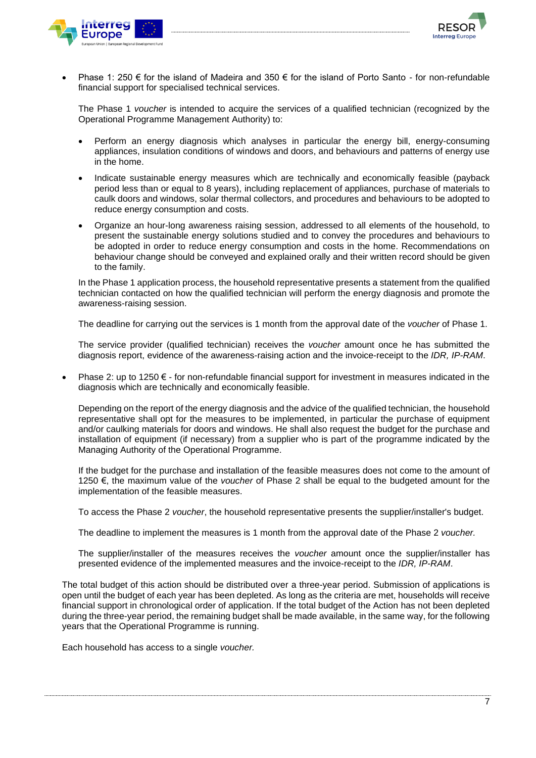



Phase 1: 250  $\epsilon$  for the island of Madeira and 350  $\epsilon$  for the island of Porto Santo - for non-refundable financial support for specialised technical services.

The Phase 1 *voucher* is intended to acquire the services of a qualified technician (recognized by the Operational Programme Management Authority) to:

- Perform an energy diagnosis which analyses in particular the energy bill, energy-consuming appliances, insulation conditions of windows and doors, and behaviours and patterns of energy use in the home.
- Indicate sustainable energy measures which are technically and economically feasible (payback period less than or equal to 8 years), including replacement of appliances, purchase of materials to caulk doors and windows, solar thermal collectors, and procedures and behaviours to be adopted to reduce energy consumption and costs.
- Organize an hour-long awareness raising session, addressed to all elements of the household, to present the sustainable energy solutions studied and to convey the procedures and behaviours to be adopted in order to reduce energy consumption and costs in the home. Recommendations on behaviour change should be conveyed and explained orally and their written record should be given to the family.

In the Phase 1 application process, the household representative presents a statement from the qualified technician contacted on how the qualified technician will perform the energy diagnosis and promote the awareness-raising session.

The deadline for carrying out the services is 1 month from the approval date of the *voucher* of Phase 1.

The service provider (qualified technician) receives the *voucher* amount once he has submitted the diagnosis report, evidence of the awareness-raising action and the invoice-receipt to the *IDR, IP-RAM*.

Phase 2: up to 1250  $\epsilon$  - for non-refundable financial support for investment in measures indicated in the diagnosis which are technically and economically feasible.

Depending on the report of the energy diagnosis and the advice of the qualified technician, the household representative shall opt for the measures to be implemented, in particular the purchase of equipment and/or caulking materials for doors and windows. He shall also request the budget for the purchase and installation of equipment (if necessary) from a supplier who is part of the programme indicated by the Managing Authority of the Operational Programme.

If the budget for the purchase and installation of the feasible measures does not come to the amount of 1250 €, the maximum value of the *voucher* of Phase 2 shall be equal to the budgeted amount for the implementation of the feasible measures.

To access the Phase 2 *voucher*, the household representative presents the supplier/installer's budget.

The deadline to implement the measures is 1 month from the approval date of the Phase 2 *voucher.*

The supplier/installer of the measures receives the *voucher* amount once the supplier/installer has presented evidence of the implemented measures and the invoice-receipt to the *IDR, IP-RAM*.

The total budget of this action should be distributed over a three-year period. Submission of applications is open until the budget of each year has been depleted. As long as the criteria are met, households will receive financial support in chronological order of application. If the total budget of the Action has not been depleted during the three-year period, the remaining budget shall be made available, in the same way, for the following years that the Operational Programme is running.

Each household has access to a single *voucher.*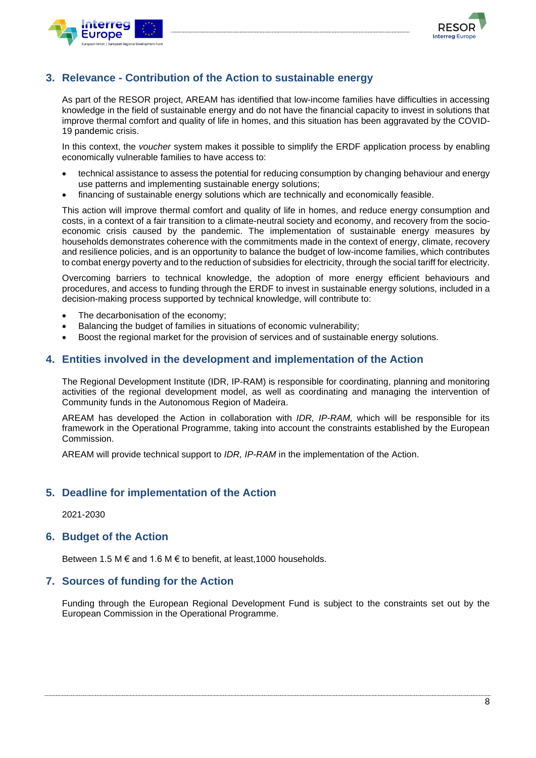



### <span id="page-7-0"></span>**3. Relevance - Contribution of the Action to sustainable energy**

As part of the RESOR project, AREAM has identified that low-income families have difficulties in accessing knowledge in the field of sustainable energy and do not have the financial capacity to invest in solutions that improve thermal comfort and quality of life in homes, and this situation has been aggravated by the COVID-19 pandemic crisis.

In this context, the *voucher* system makes it possible to simplify the ERDF application process by enabling economically vulnerable families to have access to:

- technical assistance to assess the potential for reducing consumption by changing behaviour and energy use patterns and implementing sustainable energy solutions;
- financing of sustainable energy solutions which are technically and economically feasible.

This action will improve thermal comfort and quality of life in homes, and reduce energy consumption and costs, in a context of a fair transition to a climate-neutral society and economy, and recovery from the socioeconomic crisis caused by the pandemic. The implementation of sustainable energy measures by households demonstrates coherence with the commitments made in the context of energy, climate, recovery and resilience policies, and is an opportunity to balance the budget of low-income families, which contributes to combat energy poverty and to the reduction of subsidies for electricity, through the social tariff for electricity.

Overcoming barriers to technical knowledge, the adoption of more energy efficient behaviours and procedures, and access to funding through the ERDF to invest in sustainable energy solutions, included in a decision-making process supported by technical knowledge, will contribute to:

- The decarbonisation of the economy;
- Balancing the budget of families in situations of economic vulnerability;
- Boost the regional market for the provision of services and of sustainable energy solutions.

#### <span id="page-7-1"></span>**4. Entities involved in the development and implementation of the Action**

The Regional Development Institute (IDR, IP-RAM) is responsible for coordinating, planning and monitoring activities of the regional development model, as well as coordinating and managing the intervention of Community funds in the Autonomous Region of Madeira.

AREAM has developed the Action in collaboration with *IDR, IP-RAM,* which will be responsible for its framework in the Operational Programme, taking into account the constraints established by the European Commission.

AREAM will provide technical support to *IDR, IP-RAM* in the implementation of the Action.

### <span id="page-7-2"></span>**5. Deadline for implementation of the Action**

2021-2030

#### <span id="page-7-3"></span>**6. Budget of the Action**

Between 1.5 M  $\epsilon$  and 1.6 M  $\epsilon$  to benefit, at least, 1000 households.

#### <span id="page-7-4"></span>**7. Sources of funding for the Action**

Funding through the European Regional Development Fund is subject to the constraints set out by the European Commission in the Operational Programme.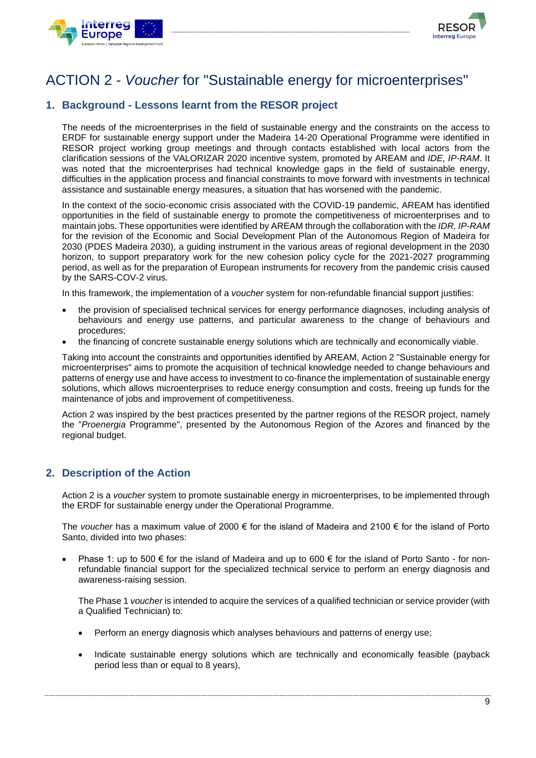



# <span id="page-8-0"></span>ACTION 2 - *Voucher* for "Sustainable energy for microenterprises"

## <span id="page-8-1"></span>**1. Background - Lessons learnt from the RESOR project**

The needs of the microenterprises in the field of sustainable energy and the constraints on the access to ERDF for sustainable energy support under the Madeira 14-20 Operational Programme were identified in RESOR project working group meetings and through contacts established with local actors from the clarification sessions of the VALORIZAR 2020 incentive system, promoted by AREAM and *IDE, IP-RAM*. It was noted that the microenterprises had technical knowledge gaps in the field of sustainable energy, difficulties in the application process and financial constraints to move forward with investments in technical assistance and sustainable energy measures, a situation that has worsened with the pandemic.

In the context of the socio-economic crisis associated with the COVID-19 pandemic, AREAM has identified opportunities in the field of sustainable energy to promote the competitiveness of microenterprises and to maintain jobs. These opportunities were identified by AREAM through the collaboration with the *IDR, IP-RAM* for the revision of the Economic and Social Development Plan of the Autonomous Region of Madeira for 2030 (PDES Madeira 2030), a guiding instrument in the various areas of regional development in the 2030 horizon, to support preparatory work for the new cohesion policy cycle for the 2021-2027 programming period, as well as for the preparation of European instruments for recovery from the pandemic crisis caused by the SARS-COV-2 virus.

In this framework, the implementation of a *voucher* system for non-refundable financial support justifies:

- the provision of specialised technical services for energy performance diagnoses, including analysis of behaviours and energy use patterns, and particular awareness to the change of behaviours and procedures;
- the financing of concrete sustainable energy solutions which are technically and economically viable.

Taking into account the constraints and opportunities identified by AREAM, Action 2 "Sustainable energy for microenterprises" aims to promote the acquisition of technical knowledge needed to change behaviours and patterns of energy use and have access to investment to co-finance the implementation of sustainable energy solutions, which allows microenterprises to reduce energy consumption and costs, freeing up funds for the maintenance of jobs and improvement of competitiveness.

Action 2 was inspired by the best practices presented by the partner regions of the RESOR project, namely the "*Proenergia* Programme", presented by the Autonomous Region of the Azores and financed by the regional budget.

### <span id="page-8-2"></span>**2. Description of the Action**

Action 2 is a *voucher* system to promote sustainable energy in microenterprises, to be implemented through the ERDF for sustainable energy under the Operational Programme.

The *voucher* has a maximum value of 2000 € for the island of Madeira and 2100 € for the island of Porto Santo, divided into two phases:

Phase 1: up to 500  $\epsilon$  for the island of Madeira and up to 600  $\epsilon$  for the island of Porto Santo - for nonrefundable financial support for the specialized technical service to perform an energy diagnosis and awareness-raising session.

The Phase 1 *voucher* is intended to acquire the services of a qualified technician or service provider (with a Qualified Technician) to:

- Perform an energy diagnosis which analyses behaviours and patterns of energy use;
- Indicate sustainable energy solutions which are technically and economically feasible (payback period less than or equal to 8 years),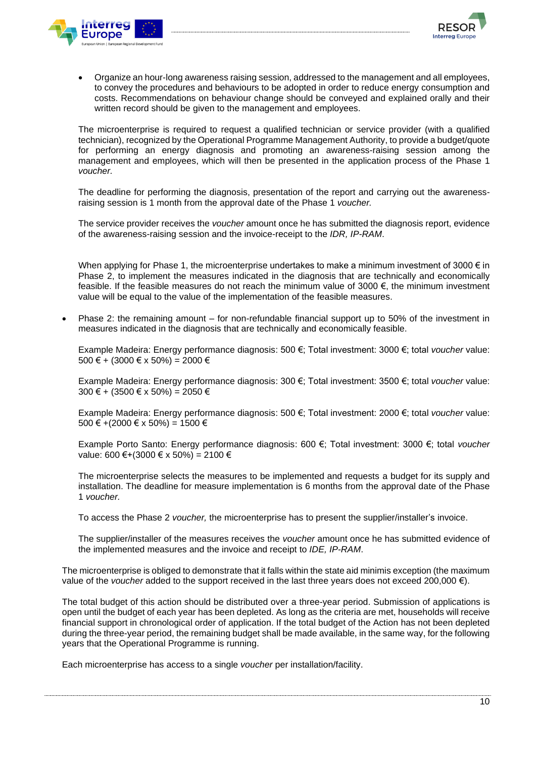



• Organize an hour-long awareness raising session, addressed to the management and all employees, to convey the procedures and behaviours to be adopted in order to reduce energy consumption and costs. Recommendations on behaviour change should be conveyed and explained orally and their written record should be given to the management and employees.

The microenterprise is required to request a qualified technician or service provider (with a qualified technician), recognized by the Operational Programme Management Authority, to provide a budget/quote for performing an energy diagnosis and promoting an awareness-raising session among the management and employees, which will then be presented in the application process of the Phase 1 *voucher.*

The deadline for performing the diagnosis, presentation of the report and carrying out the awarenessraising session is 1 month from the approval date of the Phase 1 *voucher.* 

The service provider receives the *voucher* amount once he has submitted the diagnosis report, evidence of the awareness-raising session and the invoice-receipt to the *IDR, IP-RAM*.

When applying for Phase 1, the microenterprise undertakes to make a minimum investment of 3000 $\epsilon$  in Phase 2, to implement the measures indicated in the diagnosis that are technically and economically feasible. If the feasible measures do not reach the minimum value of 3000 €, the minimum investment value will be equal to the value of the implementation of the feasible measures.

• Phase 2: the remaining amount – for non-refundable financial support up to 50% of the investment in measures indicated in the diagnosis that are technically and economically feasible.

Example Madeira: Energy performance diagnosis: 500 €; Total investment: 3000 €; total *voucher* value: 500 € + (3000 € x 50%) = 2000 €

Example Madeira: Energy performance diagnosis: 300 €; Total investment: 3500 €; total *voucher* value: 300 € + (3500 € x 50%) = 2050 €

Example Madeira: Energy performance diagnosis: 500 €; Total investment: 2000 €; total *voucher* value: 500 € +(2000 € x 50%) = 1500 €

Example Porto Santo: Energy performance diagnosis: 600 €; Total investment: 3000 €; total *voucher* value: 600 €+(3000 € x 50%) = 2100 €

The microenterprise selects the measures to be implemented and requests a budget for its supply and installation. The deadline for measure implementation is 6 months from the approval date of the Phase 1 *voucher.*

To access the Phase 2 *voucher,* the microenterprise has to present the supplier/installer's invoice.

The supplier/installer of the measures receives the *voucher* amount once he has submitted evidence of the implemented measures and the invoice and receipt to *IDE, IP-RAM*.

The microenterprise is obliged to demonstrate that it falls within the state aid minimis exception (the maximum value of the *voucher* added to the support received in the last three years does not exceed 200,000 €).

The total budget of this action should be distributed over a three-year period. Submission of applications is open until the budget of each year has been depleted. As long as the criteria are met, households will receive financial support in chronological order of application. If the total budget of the Action has not been depleted during the three-year period, the remaining budget shall be made available, in the same way, for the following years that the Operational Programme is running.

Each microenterprise has access to a single *voucher* per installation/facility.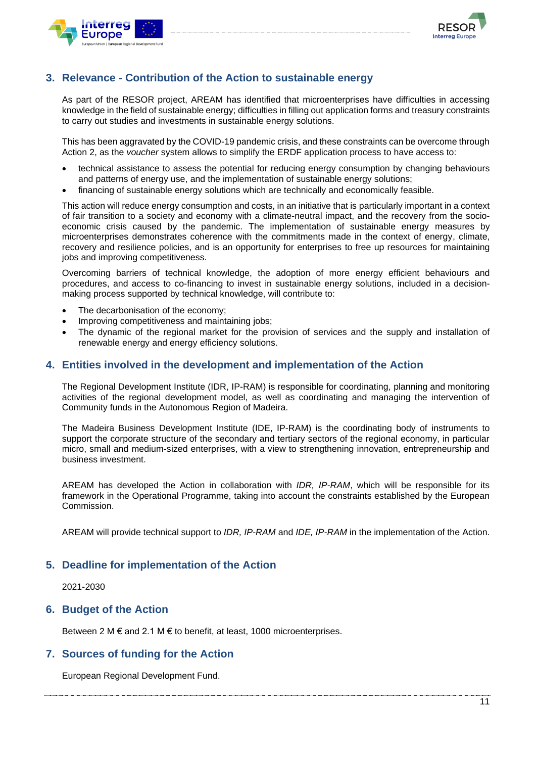



### <span id="page-10-0"></span>**3. Relevance - Contribution of the Action to sustainable energy**

As part of the RESOR project, AREAM has identified that microenterprises have difficulties in accessing knowledge in the field of sustainable energy; difficulties in filling out application forms and treasury constraints to carry out studies and investments in sustainable energy solutions.

This has been aggravated by the COVID-19 pandemic crisis, and these constraints can be overcome through Action 2, as the *voucher* system allows to simplify the ERDF application process to have access to:

- technical assistance to assess the potential for reducing energy consumption by changing behaviours and patterns of energy use, and the implementation of sustainable energy solutions;
- financing of sustainable energy solutions which are technically and economically feasible.

This action will reduce energy consumption and costs, in an initiative that is particularly important in a context of fair transition to a society and economy with a climate-neutral impact, and the recovery from the socioeconomic crisis caused by the pandemic. The implementation of sustainable energy measures by microenterprises demonstrates coherence with the commitments made in the context of energy, climate, recovery and resilience policies, and is an opportunity for enterprises to free up resources for maintaining jobs and improving competitiveness.

Overcoming barriers of technical knowledge, the adoption of more energy efficient behaviours and procedures, and access to co-financing to invest in sustainable energy solutions, included in a decisionmaking process supported by technical knowledge, will contribute to:

- The decarbonisation of the economy;
- Improving competitiveness and maintaining jobs;
- The dynamic of the regional market for the provision of services and the supply and installation of renewable energy and energy efficiency solutions.

#### <span id="page-10-1"></span>**4. Entities involved in the development and implementation of the Action**

The Regional Development Institute (IDR, IP-RAM) is responsible for coordinating, planning and monitoring activities of the regional development model, as well as coordinating and managing the intervention of Community funds in the Autonomous Region of Madeira.

The Madeira Business Development Institute (IDE, IP-RAM) is the coordinating body of instruments to support the corporate structure of the secondary and tertiary sectors of the regional economy, in particular micro, small and medium-sized enterprises, with a view to strengthening innovation, entrepreneurship and business investment.

AREAM has developed the Action in collaboration with *IDR, IP-RAM*, which will be responsible for its framework in the Operational Programme, taking into account the constraints established by the European Commission.

AREAM will provide technical support to *IDR, IP-RAM* and *IDE, IP-RAM* in the implementation of the Action.

#### <span id="page-10-2"></span>**5. Deadline for implementation of the Action**

2021-2030

#### <span id="page-10-3"></span>**6. Budget of the Action**

Between 2 M  $\epsilon$  and 2.1 M  $\epsilon$  to benefit, at least, 1000 microenterprises.

#### <span id="page-10-4"></span>**7. Sources of funding for the Action**

European Regional Development Fund.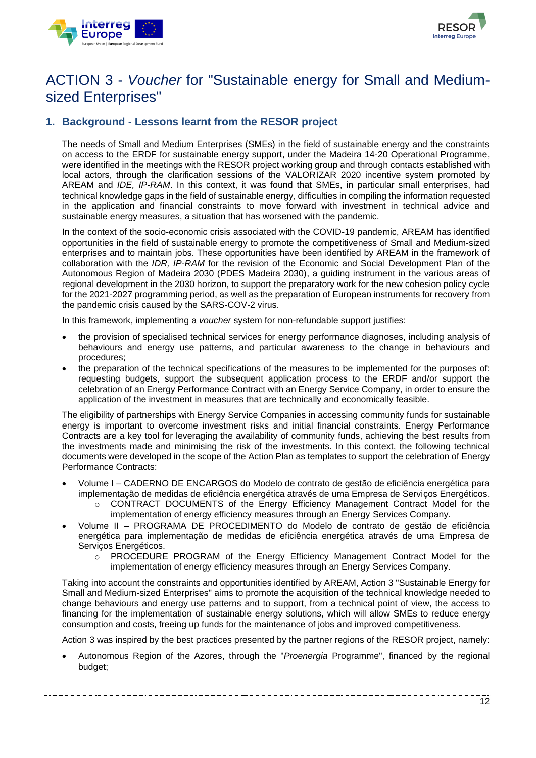



## <span id="page-11-0"></span>ACTION 3 - *Voucher* for "Sustainable energy for Small and Mediumsized Enterprises"

## <span id="page-11-1"></span>**1. Background - Lessons learnt from the RESOR project**

The needs of Small and Medium Enterprises (SMEs) in the field of sustainable energy and the constraints on access to the ERDF for sustainable energy support, under the Madeira 14-20 Operational Programme, were identified in the meetings with the RESOR project working group and through contacts established with local actors, through the clarification sessions of the VALORIZAR 2020 incentive system promoted by AREAM and *IDE, IP-RAM*. In this context, it was found that SMEs, in particular small enterprises, had technical knowledge gaps in the field of sustainable energy, difficulties in compiling the information requested in the application and financial constraints to move forward with investment in technical advice and sustainable energy measures, a situation that has worsened with the pandemic.

In the context of the socio-economic crisis associated with the COVID-19 pandemic, AREAM has identified opportunities in the field of sustainable energy to promote the competitiveness of Small and Medium-sized enterprises and to maintain jobs. These opportunities have been identified by AREAM in the framework of collaboration with the *IDR, IP-RAM* for the revision of the Economic and Social Development Plan of the Autonomous Region of Madeira 2030 (PDES Madeira 2030), a guiding instrument in the various areas of regional development in the 2030 horizon, to support the preparatory work for the new cohesion policy cycle for the 2021-2027 programming period, as well as the preparation of European instruments for recovery from the pandemic crisis caused by the SARS-COV-2 virus.

In this framework, implementing a *voucher* system for non-refundable support justifies:

- the provision of specialised technical services for energy performance diagnoses, including analysis of behaviours and energy use patterns, and particular awareness to the change in behaviours and procedures;
- the preparation of the technical specifications of the measures to be implemented for the purposes of: requesting budgets, support the subsequent application process to the ERDF and/or support the celebration of an Energy Performance Contract with an Energy Service Company, in order to ensure the application of the investment in measures that are technically and economically feasible.

The eligibility of partnerships with Energy Service Companies in accessing community funds for sustainable energy is important to overcome investment risks and initial financial constraints. Energy Performance Contracts are a key tool for leveraging the availability of community funds, achieving the best results from the investments made and minimising the risk of the investments. In this context, the following technical documents were developed in the scope of the Action Plan as templates to support the celebration of Energy Performance Contracts:

- Volume I CADERNO DE ENCARGOS do Modelo de contrato de gestão de eficiência energética para implementação de medidas de eficiência energética através de uma Empresa de Serviços Energéticos.
	- o [CONTRACT DOCUMENTS](https://www.linguee.pt/ingles-portugues/traducao/contract+documents.html) of the Energy Efficiency Management Contract Model for the implementation of energy efficiency measures through an Energy Services Company.
- Volume II PROGRAMA DE PROCEDIMENTO do Modelo de contrato de gestão de eficiência energética para implementação de medidas de eficiência energética através de uma Empresa de Serviços Energéticos.
	- o PROCEDURE PROGRAM of the Energy Efficiency Management Contract Model for the implementation of energy efficiency measures through an Energy Services Company.

Taking into account the constraints and opportunities identified by AREAM, Action 3 "Sustainable Energy for Small and Medium-sized Enterprises" aims to promote the acquisition of the technical knowledge needed to change behaviours and energy use patterns and to support, from a technical point of view, the access to financing for the implementation of sustainable energy solutions, which will allow SMEs to reduce energy consumption and costs, freeing up funds for the maintenance of jobs and improved competitiveness.

Action 3 was inspired by the best practices presented by the partner regions of the RESOR project, namely:

• Autonomous Region of the Azores, through the "*Proenergia* Programme", financed by the regional budget;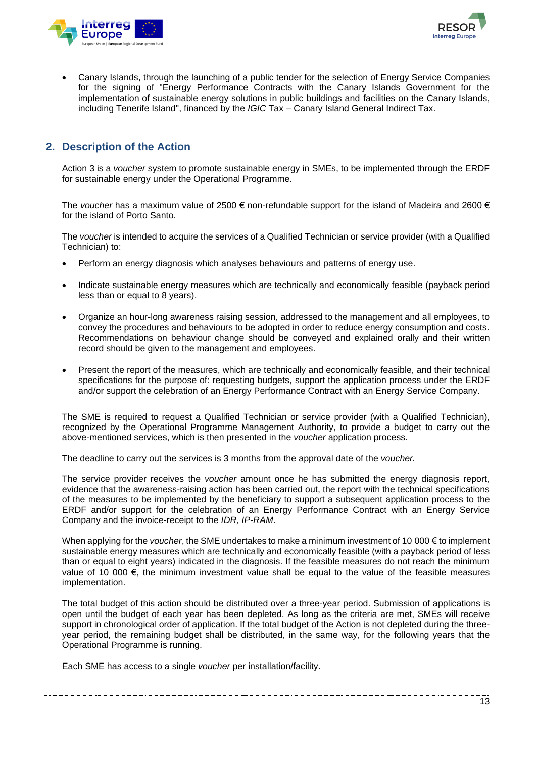



• Canary Islands, through the launching of a public tender for the selection of Energy Service Companies for the signing of "Energy Performance Contracts with the Canary Islands Government for the implementation of sustainable energy solutions in public buildings and facilities on the Canary Islands, including Tenerife Island", financed by the *IGIC* Tax – Canary Island General Indirect Tax.

### <span id="page-12-0"></span>**2. Description of the Action**

Action 3 is a *voucher* system to promote sustainable energy in SMEs, to be implemented through the ERDF for sustainable energy under the Operational Programme.

The *voucher* has a maximum value of 2500 € non-refundable support for the island of Madeira and 2600 € for the island of Porto Santo.

The *voucher* is intended to acquire the services of a Qualified Technician or service provider (with a Qualified Technician) to:

- Perform an energy diagnosis which analyses behaviours and patterns of energy use.
- Indicate sustainable energy measures which are technically and economically feasible (payback period less than or equal to 8 years).
- Organize an hour-long awareness raising session, addressed to the management and all employees, to convey the procedures and behaviours to be adopted in order to reduce energy consumption and costs. Recommendations on behaviour change should be conveyed and explained orally and their written record should be given to the management and employees.
- Present the report of the measures, which are technically and economically feasible, and their technical specifications for the purpose of: requesting budgets, support the application process under the ERDF and/or support the celebration of an Energy Performance Contract with an Energy Service Company.

The SME is required to request a Qualified Technician or service provider (with a Qualified Technician), recognized by the Operational Programme Management Authority, to provide a budget to carry out the above-mentioned services, which is then presented in the *voucher* application process*.*

The deadline to carry out the services is 3 months from the approval date of the *voucher.*

The service provider receives the *voucher* amount once he has submitted the energy diagnosis report, evidence that the awareness-raising action has been carried out, the report with the technical specifications of the measures to be implemented by the beneficiary to support a subsequent application process to the ERDF and/or support for the celebration of an Energy Performance Contract with an Energy Service Company and the invoice-receipt to the *IDR, IP-RAM*.

When applying for the *voucher*, the SME undertakes to make a minimum investment of 10 000 € to implement sustainable energy measures which are technically and economically feasible (with a payback period of less than or equal to eight years) indicated in the diagnosis. If the feasible measures do not reach the minimum value of 10 000  $\epsilon$ , the minimum investment value shall be equal to the value of the feasible measures implementation.

The total budget of this action should be distributed over a three-year period. Submission of applications is open until the budget of each year has been depleted. As long as the criteria are met, SMEs will receive support in chronological order of application. If the total budget of the Action is not depleted during the threeyear period, the remaining budget shall be distributed, in the same way, for the following years that the Operational Programme is running.

Each SME has access to a single *voucher* per installation/facility.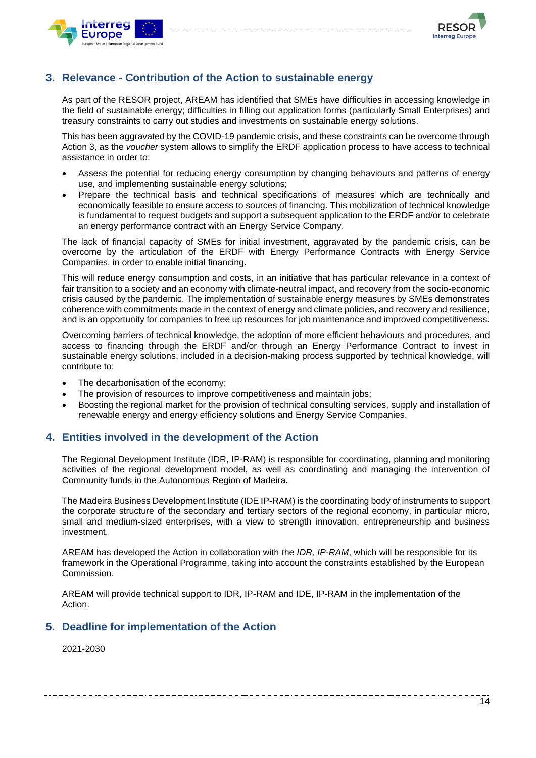



### <span id="page-13-0"></span>**3. Relevance - Contribution of the Action to sustainable energy**

As part of the RESOR project, AREAM has identified that SMEs have difficulties in accessing knowledge in the field of sustainable energy; difficulties in filling out application forms (particularly Small Enterprises) and treasury constraints to carry out studies and investments on sustainable energy solutions.

This has been aggravated by the COVID-19 pandemic crisis, and these constraints can be overcome through Action 3, as the *voucher* system allows to simplify the ERDF application process to have access to technical assistance in order to:

- Assess the potential for reducing energy consumption by changing behaviours and patterns of energy use, and implementing sustainable energy solutions;
- Prepare the technical basis and technical specifications of measures which are technically and economically feasible to ensure access to sources of financing. This mobilization of technical knowledge is fundamental to request budgets and support a subsequent application to the ERDF and/or to celebrate an energy performance contract with an Energy Service Company.

The lack of financial capacity of SMEs for initial investment, aggravated by the pandemic crisis, can be overcome by the articulation of the ERDF with Energy Performance Contracts with Energy Service Companies, in order to enable initial financing.

This will reduce energy consumption and costs, in an initiative that has particular relevance in a context of fair transition to a society and an economy with climate-neutral impact, and recovery from the socio-economic crisis caused by the pandemic. The implementation of sustainable energy measures by SMEs demonstrates coherence with commitments made in the context of energy and climate policies, and recovery and resilience, and is an opportunity for companies to free up resources for job maintenance and improved competitiveness.

Overcoming barriers of technical knowledge, the adoption of more efficient behaviours and procedures, and access to financing through the ERDF and/or through an Energy Performance Contract to invest in sustainable energy solutions, included in a decision-making process supported by technical knowledge, will contribute to:

- The decarbonisation of the economy;
- The provision of resources to improve competitiveness and maintain jobs;
- Boosting the regional market for the provision of technical consulting services, supply and installation of renewable energy and energy efficiency solutions and Energy Service Companies.

### <span id="page-13-1"></span>**4. Entities involved in the development of the Action**

The Regional Development Institute (IDR, IP-RAM) is responsible for coordinating, planning and monitoring activities of the regional development model, as well as coordinating and managing the intervention of Community funds in the Autonomous Region of Madeira.

The Madeira Business Development Institute (IDE IP-RAM) is the coordinating body of instruments to support the corporate structure of the secondary and tertiary sectors of the regional economy, in particular micro, small and medium-sized enterprises, with a view to strength innovation, entrepreneurship and business investment.

AREAM has developed the Action in collaboration with the *IDR, IP-RAM*, which will be responsible for its framework in the Operational Programme, taking into account the constraints established by the European Commission.

AREAM will provide technical support to IDR, IP-RAM and IDE, IP-RAM in the implementation of the Action.

#### <span id="page-13-2"></span>**5. Deadline for implementation of the Action**

2021-2030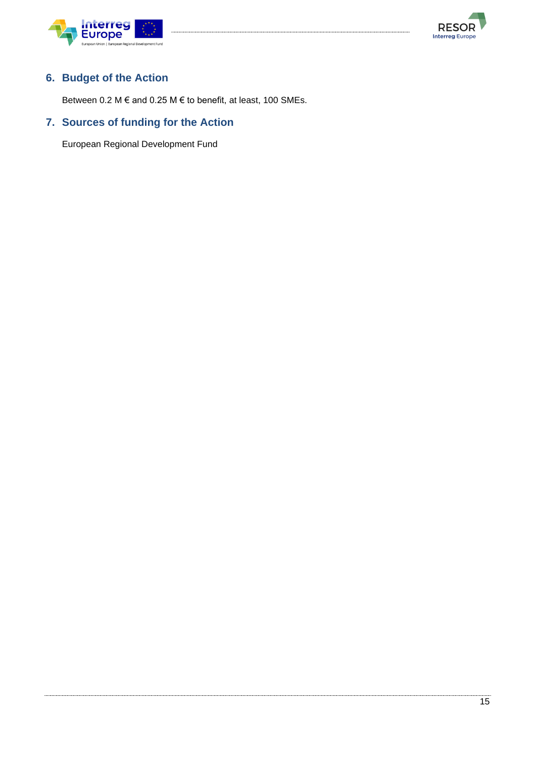



## <span id="page-14-0"></span>**6. Budget of the Action**

Between 0.2 M  $\epsilon$  and 0.25 M  $\epsilon$  to benefit, at least, 100 SMEs.

## <span id="page-14-1"></span>**7. Sources of funding for the Action**

European Regional Development Fund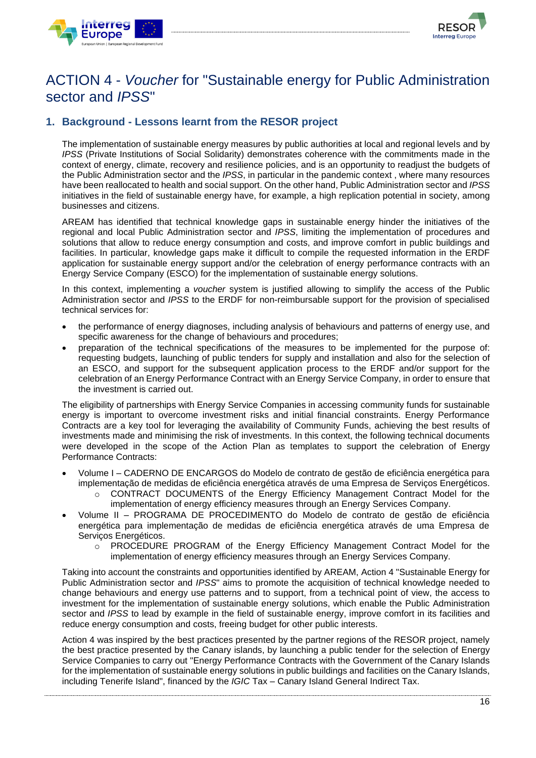



## <span id="page-15-0"></span>ACTION 4 - *Voucher* for "Sustainable energy for Public Administration sector and *IPSS*"

## <span id="page-15-1"></span>**1. Background - Lessons learnt from the RESOR project**

The implementation of sustainable energy measures by public authorities at local and regional levels and by *IPSS* (Private Institutions of Social Solidarity) demonstrates coherence with the commitments made in the context of energy, climate, recovery and resilience policies, and is an opportunity to readjust the budgets of the Public Administration sector and the *IPSS*, in particular in the pandemic context , where many resources have been reallocated to health and social support. On the other hand, Public Administration sector and *IPSS* initiatives in the field of sustainable energy have, for example, a high replication potential in society, among businesses and citizens.

AREAM has identified that technical knowledge gaps in sustainable energy hinder the initiatives of the regional and local Public Administration sector and *IPSS*, limiting the implementation of procedures and solutions that allow to reduce energy consumption and costs, and improve comfort in public buildings and facilities. In particular, knowledge gaps make it difficult to compile the requested information in the ERDF application for sustainable energy support and/or the celebration of energy performance contracts with an Energy Service Company (ESCO) for the implementation of sustainable energy solutions.

In this context, implementing a *voucher* system is justified allowing to simplify the access of the Public Administration sector and *IPSS* to the ERDF for non-reimbursable support for the provision of specialised technical services for:

- the performance of energy diagnoses, including analysis of behaviours and patterns of energy use, and specific awareness for the change of behaviours and procedures;
- preparation of the technical specifications of the measures to be implemented for the purpose of: requesting budgets, launching of public tenders for supply and installation and also for the selection of an ESCO, and support for the subsequent application process to the ERDF and/or support for the celebration of an Energy Performance Contract with an Energy Service Company, in order to ensure that the investment is carried out.

The eligibility of partnerships with Energy Service Companies in accessing community funds for sustainable energy is important to overcome investment risks and initial financial constraints. Energy Performance Contracts are a key tool for leveraging the availability of Community Funds, achieving the best results of investments made and minimising the risk of investments. In this context, the following technical documents were developed in the scope of the Action Plan as templates to support the celebration of Energy Performance Contracts:

- Volume I CADERNO DE ENCARGOS do Modelo de contrato de gestão de eficiência energética para implementação de medidas de eficiência energética através de uma Empresa de Serviços Energéticos.
	- o [CONTRACT DOCUMENTS](https://www.linguee.pt/ingles-portugues/traducao/contract+documents.html) of the Energy Efficiency Management Contract Model for the implementation of energy efficiency measures through an Energy Services Company.
- Volume II PROGRAMA DE PROCEDIMENTO do Modelo de contrato de gestão de eficiência energética para implementação de medidas de eficiência energética através de uma Empresa de Serviços Energéticos.
	- $\circ$  PROCEDURE PROGRAM of the Energy Efficiency Management Contract Model for the implementation of energy efficiency measures through an Energy Services Company.

Taking into account the constraints and opportunities identified by AREAM, Action 4 "Sustainable Energy for Public Administration sector and *IPSS*" aims to promote the acquisition of technical knowledge needed to change behaviours and energy use patterns and to support, from a technical point of view, the access to investment for the implementation of sustainable energy solutions, which enable the Public Administration sector and *IPSS* to lead by example in the field of sustainable energy, improve comfort in its facilities and reduce energy consumption and costs, freeing budget for other public interests.

Action 4 was inspired by the best practices presented by the partner regions of the RESOR project, namely the best practice presented by the Canary islands, by launching a public tender for the selection of Energy Service Companies to carry out "Energy Performance Contracts with the Government of the Canary Islands for the implementation of sustainable energy solutions in public buildings and facilities on the Canary Islands, including Tenerife Island", financed by the *IGIC* Tax – Canary Island General Indirect Tax.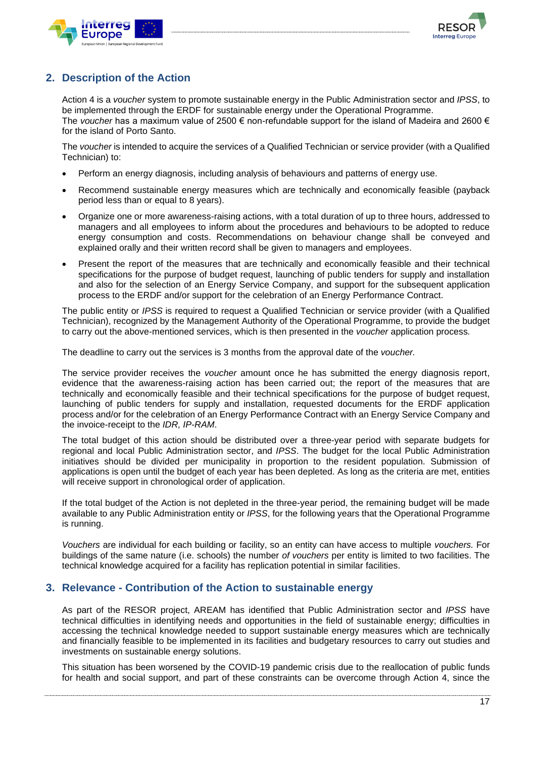



## <span id="page-16-0"></span>**2. Description of the Action**

Action 4 is a *voucher* system to promote sustainable energy in the Public Administration sector and *IPSS*, to be implemented through the ERDF for sustainable energy under the Operational Programme. The *voucher* has a maximum value of 2500 € non-refundable support for the island of Madeira and 2600 € for the island of Porto Santo.

The *voucher* is intended to acquire the services of a Qualified Technician or service provider (with a Qualified Technician) to:

- Perform an energy diagnosis, including analysis of behaviours and patterns of energy use.
- Recommend sustainable energy measures which are technically and economically feasible (payback period less than or equal to 8 years).
- Organize one or more awareness-raising actions, with a total duration of up to three hours, addressed to managers and all employees to inform about the procedures and behaviours to be adopted to reduce energy consumption and costs. Recommendations on behaviour change shall be conveyed and explained orally and their written record shall be given to managers and employees.
- Present the report of the measures that are technically and economically feasible and their technical specifications for the purpose of budget request, launching of public tenders for supply and installation and also for the selection of an Energy Service Company, and support for the subsequent application process to the ERDF and/or support for the celebration of an Energy Performance Contract.

The public entity or *IPSS* is required to request a Qualified Technician or service provider (with a Qualified Technician), recognized by the Management Authority of the Operational Programme, to provide the budget to carry out the above-mentioned services, which is then presented in the *voucher* application process*.*

The deadline to carry out the services is 3 months from the approval date of the *voucher.*

The service provider receives the *voucher* amount once he has submitted the energy diagnosis report, evidence that the awareness-raising action has been carried out; the report of the measures that are technically and economically feasible and their technical specifications for the purpose of budget request, launching of public tenders for supply and installation, requested documents for the ERDF application process and/or for the celebration of an Energy Performance Contract with an Energy Service Company and the invoice-receipt to the *IDR, IP-RAM*.

The total budget of this action should be distributed over a three-year period with separate budgets for regional and local Public Administration sector, and *IPSS*. The budget for the local Public Administration initiatives should be divided per municipality in proportion to the resident population. Submission of applications is open until the budget of each year has been depleted. As long as the criteria are met, entities will receive support in chronological order of application.

If the total budget of the Action is not depleted in the three-year period, the remaining budget will be made available to any Public Administration entity or *IPSS*, for the following years that the Operational Programme is running.

*Vouchers* are individual for each building or facility, so an entity can have access to multiple *vouchers.* For buildings of the same nature (i.e. schools) the number *of vouchers* per entity is limited to two facilities. The technical knowledge acquired for a facility has replication potential in similar facilities.

### <span id="page-16-1"></span>**3. Relevance - Contribution of the Action to sustainable energy**

As part of the RESOR project, AREAM has identified that Public Administration sector and *IPSS* have technical difficulties in identifying needs and opportunities in the field of sustainable energy; difficulties in accessing the technical knowledge needed to support sustainable energy measures which are technically and financially feasible to be implemented in its facilities and budgetary resources to carry out studies and investments on sustainable energy solutions.

This situation has been worsened by the COVID-19 pandemic crisis due to the reallocation of public funds for health and social support, and part of these constraints can be overcome through Action 4, since the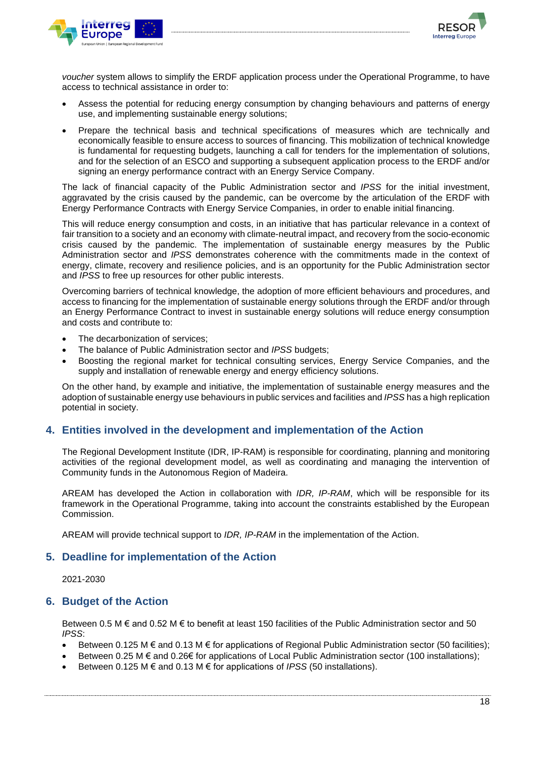



*voucher* system allows to simplify the ERDF application process under the Operational Programme, to have access to technical assistance in order to:

- Assess the potential for reducing energy consumption by changing behaviours and patterns of energy use, and implementing sustainable energy solutions;
- Prepare the technical basis and technical specifications of measures which are technically and economically feasible to ensure access to sources of financing. This mobilization of technical knowledge is fundamental for requesting budgets, launching a call for tenders for the implementation of solutions, and for the selection of an ESCO and supporting a subsequent application process to the ERDF and/or signing an energy performance contract with an Energy Service Company.

The lack of financial capacity of the Public Administration sector and *IPSS* for the initial investment, aggravated by the crisis caused by the pandemic, can be overcome by the articulation of the ERDF with Energy Performance Contracts with Energy Service Companies, in order to enable initial financing.

This will reduce energy consumption and costs, in an initiative that has particular relevance in a context of fair transition to a society and an economy with climate-neutral impact, and recovery from the socio-economic crisis caused by the pandemic. The implementation of sustainable energy measures by the Public Administration sector and *IPSS* demonstrates coherence with the commitments made in the context of energy, climate, recovery and resilience policies, and is an opportunity for the Public Administration sector and *IPSS* to free up resources for other public interests.

Overcoming barriers of technical knowledge, the adoption of more efficient behaviours and procedures, and access to financing for the implementation of sustainable energy solutions through the ERDF and/or through an Energy Performance Contract to invest in sustainable energy solutions will reduce energy consumption and costs and contribute to:

- The decarbonization of services:
- The balance of Public Administration sector and *IPSS* budgets;
- Boosting the regional market for technical consulting services, Energy Service Companies, and the supply and installation of renewable energy and energy efficiency solutions.

On the other hand, by example and initiative, the implementation of sustainable energy measures and the adoption of sustainable energy use behaviours in public services and facilities and *IPSS* has a high replication potential in society.

#### <span id="page-17-0"></span>**4. Entities involved in the development and implementation of the Action**

The Regional Development Institute (IDR, IP-RAM) is responsible for coordinating, planning and monitoring activities of the regional development model, as well as coordinating and managing the intervention of Community funds in the Autonomous Region of Madeira.

AREAM has developed the Action in collaboration with *IDR, IP-RAM*, which will be responsible for its framework in the Operational Programme, taking into account the constraints established by the European Commission.

AREAM will provide technical support to *IDR, IP-RAM* in the implementation of the Action.

#### <span id="page-17-1"></span>**5. Deadline for implementation of the Action**

2021-2030

#### <span id="page-17-2"></span>**6. Budget of the Action**

Between 0.5 M  $\epsilon$  and 0.52 M  $\epsilon$  to benefit at least 150 facilities of the Public Administration sector and 50 *IPSS*:

- Between 0.125 M  $\epsilon$  and 0.13 M  $\epsilon$  for applications of Regional Public Administration sector (50 facilities);
- Between 0.25 M € and 0.26€ for applications of Local Public Administration sector (100 installations);
- Between 0.125 M  $\epsilon$  and 0.13 M  $\epsilon$  for applications of *IPSS* (50 installations).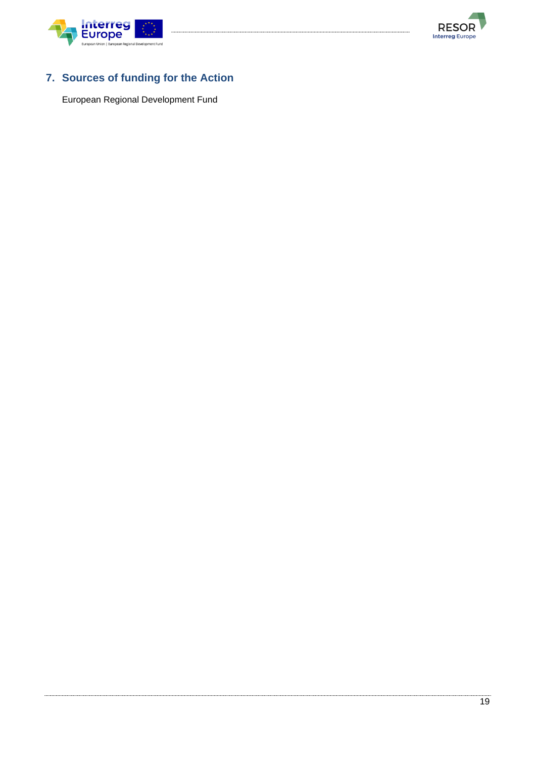



## <span id="page-18-0"></span>**7. Sources of funding for the Action**

European Regional Development Fund